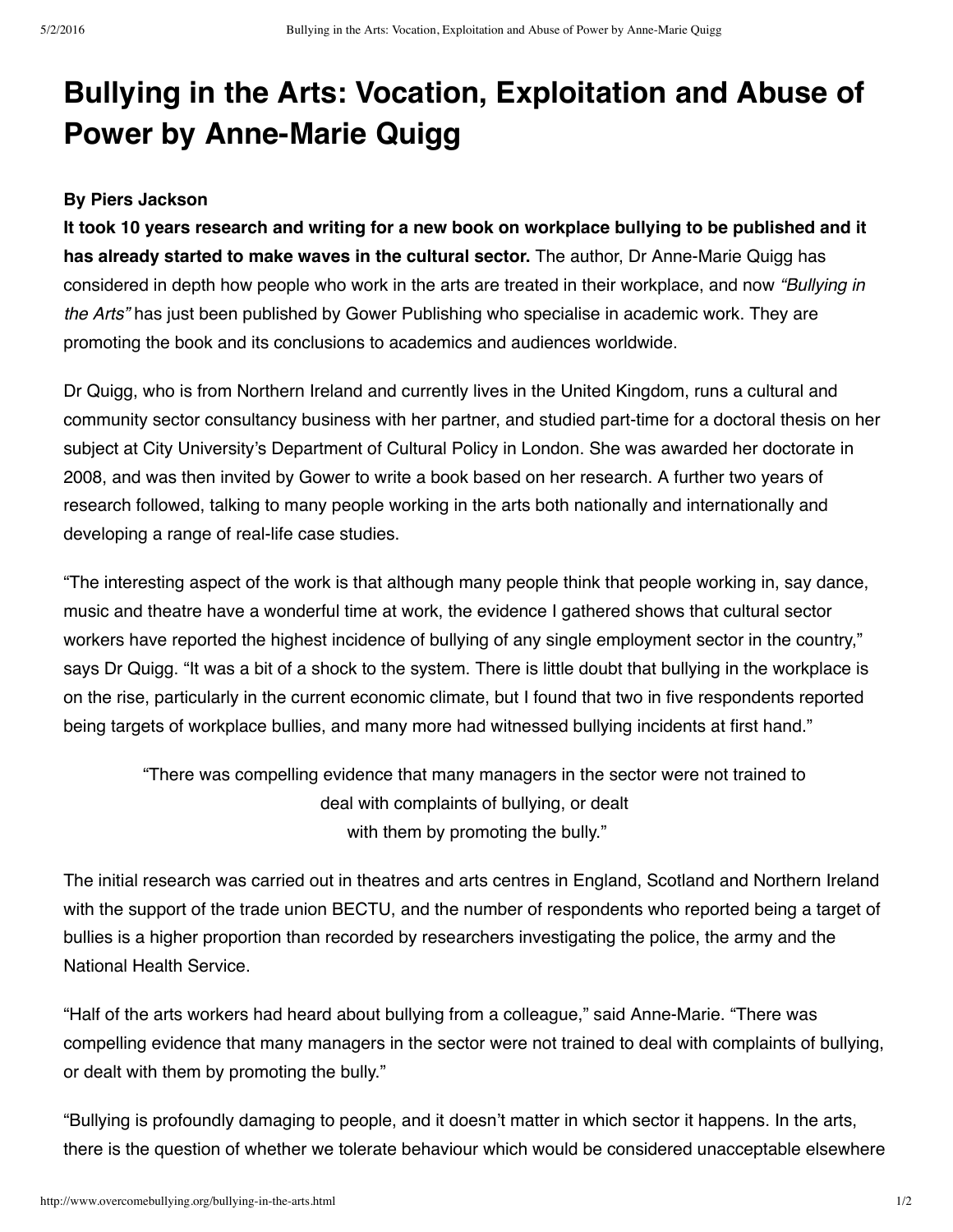## **Bullying in the Arts: Vocation, Exploitation and Abuse of Power by Anne-Marie Quigg**

## **By Piers Jackson**

It took 10 years research and writing for a new book on workplace bullying to be published and it **has already started to make waves in the cultural sector.** The author, Dr Anne-Marie Quigg has considered in depth how people who work in the arts are treated in their workplace, and now *"Bullying in the Arts"* has just been published by Gower Publishing who specialise in academic work. They are promoting the book and its conclusions to academics and audiences worldwide.

Dr Quigg, who is from Northern Ireland and currently lives in the United Kingdom, runs a cultural and community sector consultancy business with her partner, and studied part-time for a doctoral thesis on her subject at City University's Department of Cultural Policy in London. She was awarded her doctorate in 2008, and was then invited by Gower to write a book based on her research. A further two years of research followed, talking to many people working in the arts both nationally and internationally and developing a range of real-life case studies.

"The interesting aspect of the work is that although many people think that people working in, say dance, music and theatre have a wonderful time at work, the evidence I gathered shows that cultural sector workers have reported the highest incidence of bullying of any single employment sector in the country," says Dr Quigg. "It was a bit of a shock to the system. There is little doubt that bullying in the workplace is on the rise, particularly in the current economic climate, but I found that two in five respondents reported being targets of workplace bullies, and many more had witnessed bullying incidents at first hand."

"There was compelling evidence that many managers in the sector were not trained to deal with complaints of bullying, or dealt with them by promoting the bully."

The initial research was carried out in theatres and arts centres in England, Scotland and Northern Ireland with the support of the trade union BECTU, and the number of respondents who reported being a target of bullies is a higher proportion than recorded by researchers investigating the police, the army and the National Health Service.

"Half of the arts workers had heard about bullying from a colleague," said Anne-Marie. "There was compelling evidence that many managers in the sector were not trained to deal with complaints of bullying, or dealt with them by promoting the bully."

"Bullying is profoundly damaging to people, and it doesn't matter in which sector it happens. In the arts, there is the question of whether we tolerate behaviour which would be considered unacceptable elsewhere